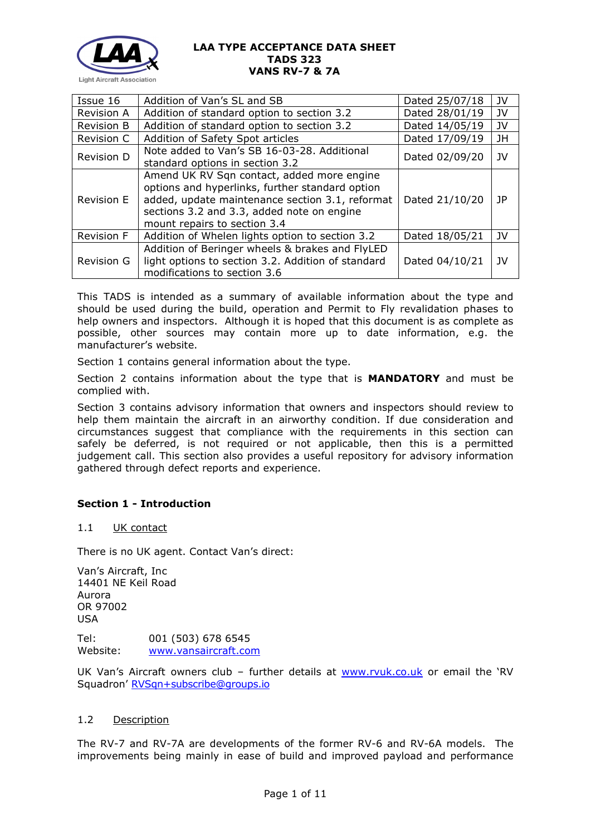

| Issue 16          | Addition of Van's SL and SB                                                                                                                                                                                                    | Dated 25/07/18 | JV  |
|-------------------|--------------------------------------------------------------------------------------------------------------------------------------------------------------------------------------------------------------------------------|----------------|-----|
| <b>Revision A</b> | Addition of standard option to section 3.2                                                                                                                                                                                     | Dated 28/01/19 | JV  |
| <b>Revision B</b> | Addition of standard option to section 3.2                                                                                                                                                                                     | Dated 14/05/19 | JV  |
| Revision C        | Addition of Safety Spot articles                                                                                                                                                                                               | Dated 17/09/19 | JH  |
| <b>Revision D</b> | Note added to Van's SB 16-03-28. Additional<br>standard options in section 3.2                                                                                                                                                 | Dated 02/09/20 | JV  |
| <b>Revision E</b> | Amend UK RV Sqn contact, added more engine<br>options and hyperlinks, further standard option<br>added, update maintenance section 3.1, reformat<br>sections 3.2 and 3.3, added note on engine<br>mount repairs to section 3.4 | Dated 21/10/20 | JP. |
| <b>Revision F</b> | Addition of Whelen lights option to section 3.2                                                                                                                                                                                | Dated 18/05/21 | JV  |
| <b>Revision G</b> | Addition of Beringer wheels & brakes and FlyLED<br>light options to section 3.2. Addition of standard<br>modifications to section 3.6                                                                                          | Dated 04/10/21 | JV  |

This TADS is intended as a summary of available information about the type and should be used during the build, operation and Permit to Fly revalidation phases to help owners and inspectors. Although it is hoped that this document is as complete as possible, other sources may contain more up to date information, e.g. the manufacturer's website.

Section 1 contains general information about the type.

Section 2 contains information about the type that is **MANDATORY** and must be complied with.

Section 3 contains advisory information that owners and inspectors should review to help them maintain the aircraft in an airworthy condition. If due consideration and circumstances suggest that compliance with the requirements in this section can safely be deferred, is not required or not applicable, then this is a permitted judgement call. This section also provides a useful repository for advisory information gathered through defect reports and experience.

# **Section 1 - Introduction**

## 1.1 UK contact

There is no UK agent. Contact Van's direct:

Van's Aircraft, Inc 14401 NE Keil Road Aurora OR 97002 USA Tel: 001 (503) 678 6545

Website: [www.vansaircraft.com](http://www.vansaircraft.com/)

UK Van's Aircraft owners club - further details at [www.rvuk.co.uk](http://www.rvuk.co.uk/) or email the 'RV Squadron' [RVSqn+subscribe@groups.io](mailto:RVSqn+subscribe@groups.io)

## 1.2 Description

The RV-7 and RV-7A are developments of the former RV-6 and RV-6A models. The improvements being mainly in ease of build and improved payload and performance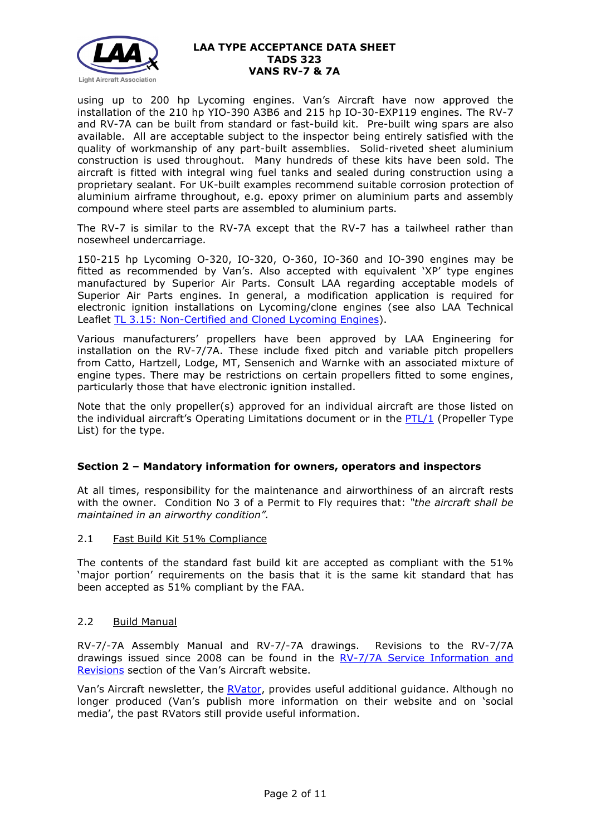

using up to 200 hp Lycoming engines. Van's Aircraft have now approved the installation of the 210 hp YIO-390 A3B6 and 215 hp IO-30-EXP119 engines. The RV-7 and RV-7A can be built from standard or fast-build kit. Pre-built wing spars are also available. All are acceptable subject to the inspector being entirely satisfied with the quality of workmanship of any part-built assemblies. Solid-riveted sheet aluminium construction is used throughout. Many hundreds of these kits have been sold. The aircraft is fitted with integral wing fuel tanks and sealed during construction using a proprietary sealant. For UK-built examples recommend suitable corrosion protection of aluminium airframe throughout, e.g. epoxy primer on aluminium parts and assembly compound where steel parts are assembled to aluminium parts.

The RV-7 is similar to the RV-7A except that the RV-7 has a tailwheel rather than nosewheel undercarriage.

150-215 hp Lycoming O-320, IO-320, O-360, IO-360 and IO-390 engines may be fitted as recommended by Van's. Also accepted with equivalent 'XP' type engines manufactured by Superior Air Parts. Consult LAA regarding acceptable models of Superior Air Parts engines. In general, a modification application is required for electronic ignition installations on Lycoming/clone engines (see also LAA Technical Leaflet [TL 3.15: Non-Certified and Cloned](http://www.lightaircraftassociation.co.uk/engineering/TechnicalLeaflets/Mods%20and%20Repairs/TL%203.15%20Non-certified%20Lycoming%20Engines.pdf) Lycoming Engines).

Various manufacturers' propellers have been approved by LAA Engineering for installation on the RV-7/7A. These include fixed pitch and variable pitch propellers from Catto, Hartzell, Lodge, MT, Sensenich and Warnke with an associated mixture of engine types. There may be restrictions on certain propellers fitted to some engines, particularly those that have electronic ignition installed.

Note that the only propeller(s) approved for an individual aircraft are those listed on the individual aircraft's Operating Limitations document or in the [PTL/1](http://www.lightaircraftassociation.co.uk/engineering/NewMods/PTL.html) (Propeller Type List) for the type.

## **Section 2 – Mandatory information for owners, operators and inspectors**

At all times, responsibility for the maintenance and airworthiness of an aircraft rests with the owner. Condition No 3 of a Permit to Fly requires that: *"the aircraft shall be maintained in an airworthy condition".* 

## 2.1 Fast Build Kit 51% Compliance

The contents of the standard fast build kit are accepted as compliant with the 51% 'major portion' requirements on the basis that it is the same kit standard that has been accepted as 51% compliant by the FAA.

## 2.2 Build Manual

RV-7/-7A Assembly Manual and RV-7/-7A drawings. Revisions to the RV-7/7A drawings issued since 2008 can be found in the [RV-7/7A Service Information and](https://www.vansaircraft.com/service-information-and-revisions/?aircraft=rv-7&doctype=all&sort=date)  [Revisions](https://www.vansaircraft.com/service-information-and-revisions/?aircraft=rv-7&doctype=all&sort=date) section of the Van's Aircraft website.

Van's Aircraft newsletter, the [RVator,](https://www.vansaircraft.com/rvator/) provides useful additional guidance. Although no longer produced (Van's publish more information on their website and on 'social media', the past RVators still provide useful information.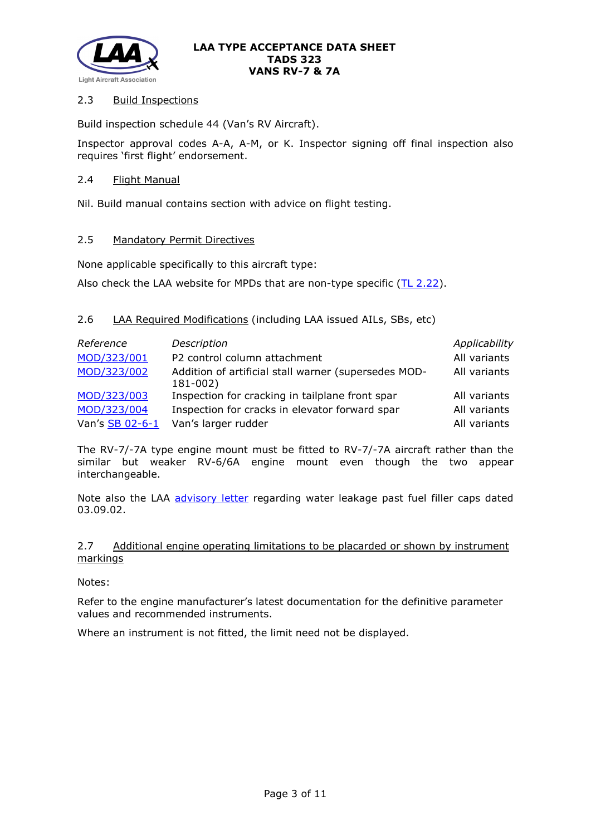

# 2.3 Build Inspections

Build inspection schedule 44 (Van's RV Aircraft).

Inspector approval codes A-A, A-M, or K. Inspector signing off final inspection also requires 'first flight' endorsement.

## 2.4 Flight Manual

Nil. Build manual contains section with advice on flight testing.

## 2.5 Mandatory Permit Directives

None applicable specifically to this aircraft type:

Also check the LAA website for MPDs that are non-type specific  $(TL 2.22)$ .

# 2.6 LAA Required Modifications (including LAA issued AILs, SBs, etc)

| Reference       | Description                                                      | Applicability |
|-----------------|------------------------------------------------------------------|---------------|
| MOD/323/001     | P2 control column attachment                                     | All variants  |
| MOD/323/002     | Addition of artificial stall warner (supersedes MOD-<br>181-002) | All variants  |
| MOD/323/003     | Inspection for cracking in tailplane front spar                  | All variants  |
| MOD/323/004     | Inspection for cracks in elevator forward spar                   | All variants  |
| Van's SB 02-6-1 | Van's larger rudder                                              | All variants  |

The RV-7/-7A type engine mount must be fitted to RV-7/-7A aircraft rather than the similar but weaker RV-6/6A engine mount even though the two appear interchangeable.

Note also the LAA [advisory letter](http://www.lightaircraftassociation.co.uk/engineering/TADs/323/VANS%20FILLER%20CAPS.pdf) regarding water leakage past fuel filler caps dated 03.09.02.

## 2.7 Additional engine operating limitations to be placarded or shown by instrument markings

Notes:

Refer to the engine manufacturer's latest documentation for the definitive parameter values and recommended instruments.

Where an instrument is not fitted, the limit need not be displayed.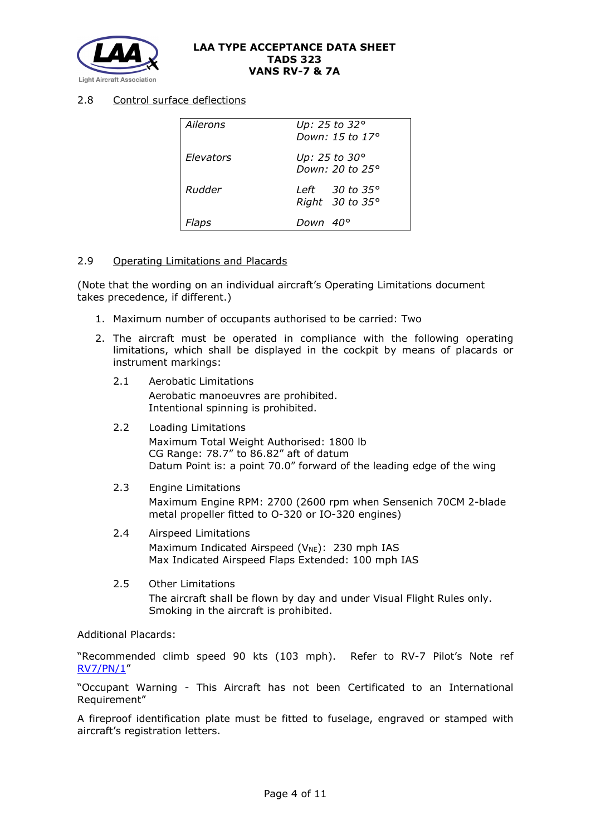

# 2.8 Control surface deflections

| Ailerons  | Up: 25 to 32°<br>Down: 15 to 17°                    |
|-----------|-----------------------------------------------------|
| Elevators | Up: 25 to 30°<br>Down: 20 to 25°                    |
| Rudder    | Left $30$ to $35^\circ$<br>Right $30$ to $35^\circ$ |
| Flaps     | Down 40°                                            |

## 2.9 Operating Limitations and Placards

(Note that the wording on an individual aircraft's Operating Limitations document takes precedence, if different.)

- 1. Maximum number of occupants authorised to be carried: Two
- 2. The aircraft must be operated in compliance with the following operating limitations, which shall be displayed in the cockpit by means of placards or instrument markings:
	- 2.1 Aerobatic Limitations Aerobatic manoeuvres are prohibited. Intentional spinning is prohibited.
	- 2.2 Loading Limitations Maximum Total Weight Authorised: 1800 lb CG Range: 78.7" to 86.82" aft of datum Datum Point is: a point 70.0" forward of the leading edge of the wing
	- 2.3 Engine Limitations Maximum Engine RPM: 2700 (2600 rpm when Sensenich 70CM 2-blade metal propeller fitted to O-320 or IO-320 engines)
	- 2.4 Airspeed Limitations Maximum Indicated Airspeed ( $V_{NE}$ ): 230 mph IAS Max Indicated Airspeed Flaps Extended: 100 mph IAS
	- 2.5 Other Limitations The aircraft shall be flown by day and under Visual Flight Rules only. Smoking in the aircraft is prohibited.

## Additional Placards:

"Recommended climb speed 90 kts (103 mph). Refer to RV-7 Pilot's Note ref [RV7/PN/1"](http://www.lightaircraftassociation.co.uk/engineering/TADs/323/RV7-PN-1.pdf)

"Occupant Warning - This Aircraft has not been Certificated to an International Requirement"

A fireproof identification plate must be fitted to fuselage, engraved or stamped with aircraft's registration letters.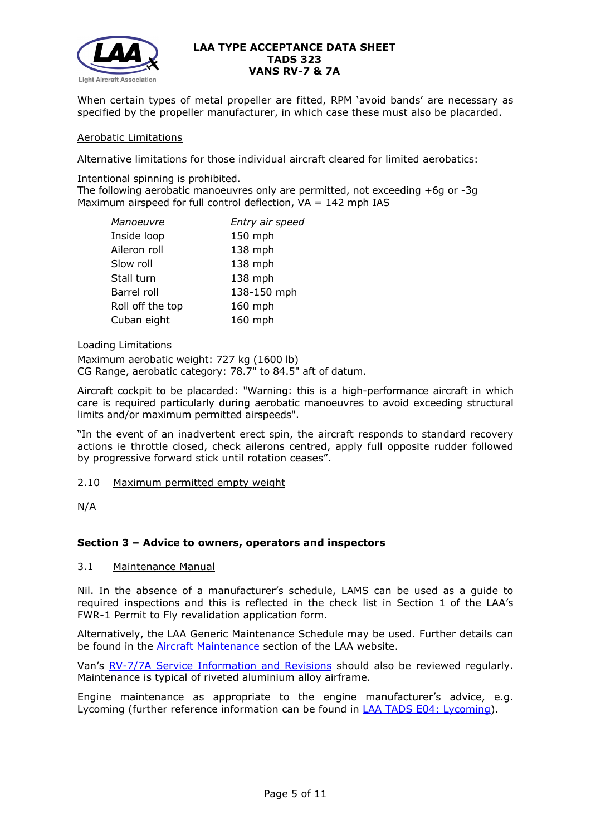

When certain types of metal propeller are fitted, RPM 'avoid bands' are necessary as specified by the propeller manufacturer, in which case these must also be placarded.

#### Aerobatic Limitations

Alternative limitations for those individual aircraft cleared for limited aerobatics:

Intentional spinning is prohibited.

The following aerobatic manoeuvres only are permitted, not exceeding +6g or -3g Maximum airspeed for full control deflection,  $VA = 142$  mph IAS

| Manoeuvre        | Entry air speed |
|------------------|-----------------|
| Inside loop      | 150 mph         |
| Aileron roll     | 138 mph         |
| Slow roll        | 138 mph         |
| Stall turn       | 138 mph         |
| Barrel roll      | 138-150 mph     |
| Roll off the top | $160$ mph       |
| Cuban eight      | 160 mph         |

Loading Limitations

Maximum aerobatic weight: 727 kg (1600 lb) CG Range, aerobatic category: 78.7" to 84.5" aft of datum.

Aircraft cockpit to be placarded: "Warning: this is a high-performance aircraft in which care is required particularly during aerobatic manoeuvres to avoid exceeding structural limits and/or maximum permitted airspeeds".

"In the event of an inadvertent erect spin, the aircraft responds to standard recovery actions ie throttle closed, check ailerons centred, apply full opposite rudder followed by progressive forward stick until rotation ceases".

2.10 Maximum permitted empty weight

N/A

## **Section 3 – Advice to owners, operators and inspectors**

#### 3.1 Maintenance Manual

Nil. In the absence of a manufacturer's schedule, LAMS can be used as a guide to required inspections and this is reflected in the check list in Section 1 of the LAA's FWR-1 Permit to Fly revalidation application form.

Alternatively, the LAA Generic Maintenance Schedule may be used. Further details can be found in the [Aircraft Maintenance](http://www.lightaircraftassociation.co.uk/engineering/Maintenance/Aircraft_Maintenance.html) section of the LAA website.

Van's [RV-7/7A Service Information and Revisions](https://www.vansaircraft.com/service-information-and-revisions/?aircraft=rv-7&doctype=all&sort=undefined) should also be reviewed regularly. Maintenance is typical of riveted aluminium alloy airframe.

Engine maintenance as appropriate to the engine manufacturer's advice, e.g. Lycoming (further reference information can be found in [LAA TADS E04: Lycoming\)](http://www.lightaircraftassociation.co.uk/engineering/TADs/E04%20LYCOMING.pdf).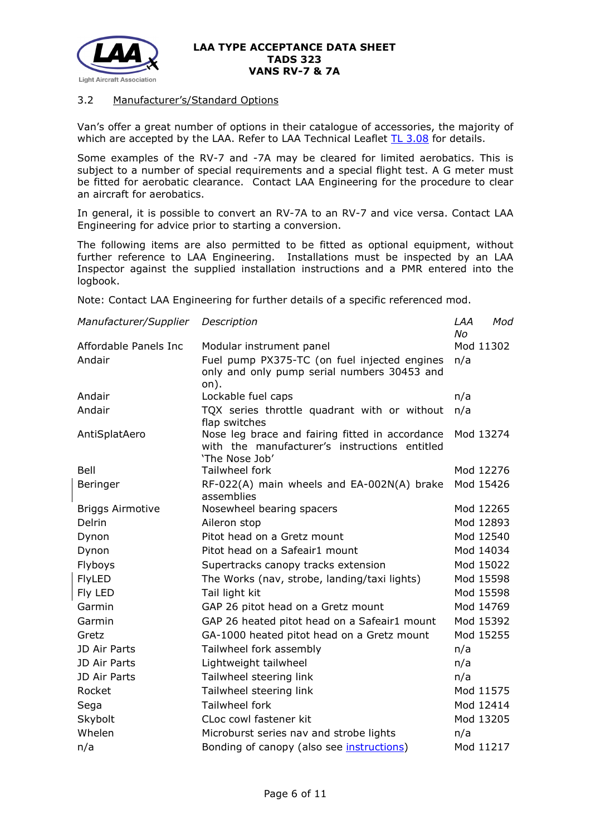

# 3.2 Manufacturer's/Standard Options

Van's offer a great number of options in their catalogue of accessories, the majority of which are accepted by the LAA. Refer to LAA Technical Leaflet  $TL$  3.08 for details.

Some examples of the RV-7 and -7A may be cleared for limited aerobatics. This is subject to a number of special requirements and a special flight test. A G meter must be fitted for aerobatic clearance. Contact LAA Engineering for the procedure to clear an aircraft for aerobatics.

In general, it is possible to convert an RV-7A to an RV-7 and vice versa. Contact LAA Engineering for advice prior to starting a conversion.

The following items are also permitted to be fitted as optional equipment, without further reference to LAA Engineering. Installations must be inspected by an LAA Inspector against the supplied installation instructions and a PMR entered into the logbook.

Note: Contact LAA Engineering for further details of a specific referenced mod.

| Manufacturer/Supplier   | Description                                                     | LAA<br>Mod      |
|-------------------------|-----------------------------------------------------------------|-----------------|
| Affordable Panels Inc   | Modular instrument panel                                        | No<br>Mod 11302 |
| Andair                  | Fuel pump PX375-TC (on fuel injected engines                    | n/a             |
|                         | only and only pump serial numbers 30453 and                     |                 |
|                         | on).                                                            |                 |
| Andair                  | Lockable fuel caps                                              | n/a             |
| Andair                  | TQX series throttle quadrant with or without                    | n/a             |
|                         | flap switches                                                   |                 |
| AntiSplatAero           | Nose leg brace and fairing fitted in accordance                 | Mod 13274       |
|                         | with the manufacturer's instructions entitled<br>'The Nose Job' |                 |
| Bell                    | Tailwheel fork                                                  | Mod 12276       |
| Beringer                | RF-022(A) main wheels and EA-002N(A) brake                      | Mod 15426       |
|                         | assemblies                                                      |                 |
| <b>Briggs Airmotive</b> | Nosewheel bearing spacers                                       | Mod 12265       |
| <b>Delrin</b>           | Aileron stop                                                    | Mod 12893       |
| Dynon                   | Pitot head on a Gretz mount                                     | Mod 12540       |
| Dynon                   | Pitot head on a Safeair1 mount                                  | Mod 14034       |
| Flyboys                 | Supertracks canopy tracks extension                             | Mod 15022       |
| <b>FlyLED</b>           | The Works (nav, strobe, landing/taxi lights)                    | Mod 15598       |
| Fly LED                 | Tail light kit                                                  | Mod 15598       |
| Garmin                  | GAP 26 pitot head on a Gretz mount                              | Mod 14769       |
| Garmin                  | GAP 26 heated pitot head on a Safeair1 mount                    | Mod 15392       |
| Gretz                   | GA-1000 heated pitot head on a Gretz mount                      | Mod 15255       |
| JD Air Parts            | Tailwheel fork assembly                                         | n/a             |
| JD Air Parts            | Lightweight tailwheel                                           | n/a             |
| JD Air Parts            | Tailwheel steering link                                         | n/a             |
| Rocket                  | Tailwheel steering link                                         | Mod 11575       |
| Sega                    | Tailwheel fork                                                  | Mod 12414       |
| Skybolt                 | CLoc cowl fastener kit                                          | Mod 13205       |
| Whelen                  | Microburst series nav and strobe lights                         | n/a             |
| n/a                     | Bonding of canopy (also see <i>instructions</i> )               | Mod 11217       |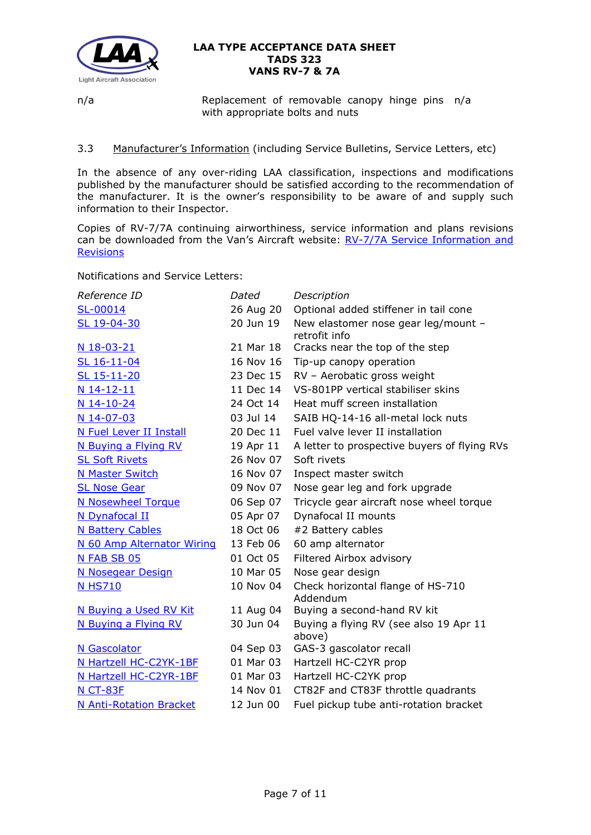

n/a Replacement of removable canopy hinge pins n/a with appropriate bolts and nuts

# 3.3 Manufacturer's Information (including Service Bulletins, Service Letters, etc)

In the absence of any over-riding LAA classification, inspections and modifications published by the manufacturer should be satisfied according to the recommendation of the manufacturer. It is the owner's responsibility to be aware of and supply such information to their Inspector.

Copies of RV-7/7A continuing airworthiness, service information and plans revisions can be downloaded from the Van's Aircraft website: RV-7/7A Service Information and **[Revisions](https://www.vansaircraft.com/service-information-and-revisions/?aircraft=rv-7&doctype=all&sort=undefined)** 

Notifications and Service Letters:

| Reference ID                   | Dated     | Description                                          |
|--------------------------------|-----------|------------------------------------------------------|
| SL-00014                       | 26 Aug 20 | Optional added stiffener in tail cone                |
| SL 19-04-30                    | 20 Jun 19 | New elastomer nose gear leg/mount -<br>retrofit info |
| N 18-03-21                     | 21 Mar 18 | Cracks near the top of the step                      |
| SL 16-11-04                    | 16 Nov 16 | Tip-up canopy operation                              |
| SL 15-11-20                    | 23 Dec 15 | RV - Aerobatic gross weight                          |
| N 14-12-11                     | 11 Dec 14 | VS-801PP vertical stabiliser skins                   |
| $N$ 14-10-24                   | 24 Oct 14 | Heat muff screen installation                        |
| N 14-07-03                     | 03 Jul 14 | SAIB HQ-14-16 all-metal lock nuts                    |
| N Fuel Lever II Install        | 20 Dec 11 | Fuel valve lever II installation                     |
| N Buying a Flying RV           | 19 Apr 11 | A letter to prospective buyers of flying RVs         |
| <b>SL Soft Rivets</b>          | 26 Nov 07 | Soft rivets                                          |
| <b>N Master Switch</b>         | 16 Nov 07 | Inspect master switch                                |
| <b>SL Nose Gear</b>            | 09 Nov 07 | Nose gear leg and fork upgrade                       |
| <b>N Nosewheel Torque</b>      | 06 Sep 07 | Tricycle gear aircraft nose wheel torque             |
| N Dynafocal II                 | 05 Apr 07 | Dynafocal II mounts                                  |
| <b>N Battery Cables</b>        | 18 Oct 06 | #2 Battery cables                                    |
| N 60 Amp Alternator Wiring     | 13 Feb 06 | 60 amp alternator                                    |
| N FAB SB 05                    | 01 Oct 05 | Filtered Airbox advisory                             |
| <b>N Nosegear Design</b>       | 10 Mar 05 | Nose gear design                                     |
| <b>N HS710</b>                 | 10 Nov 04 | Check horizontal flange of HS-710<br>Addendum        |
| N Buying a Used RV Kit         | 11 Aug 04 | Buying a second-hand RV kit                          |
| N Buying a Flying RV           | 30 Jun 04 | Buying a flying RV (see also 19 Apr 11<br>above)     |
| N Gascolator                   | 04 Sep 03 | GAS-3 gascolator recall                              |
| N Hartzell HC-C2YK-1BF         | 01 Mar 03 | Hartzell HC-C2YR prop                                |
| N Hartzell HC-C2YR-1BF         | 01 Mar 03 | Hartzell HC-C2YK prop                                |
| <b>N CT-83F</b>                | 14 Nov 01 | CT82F and CT83F throttle quadrants                   |
| <b>N Anti-Rotation Bracket</b> | 12 Jun 00 | Fuel pickup tube anti-rotation bracket               |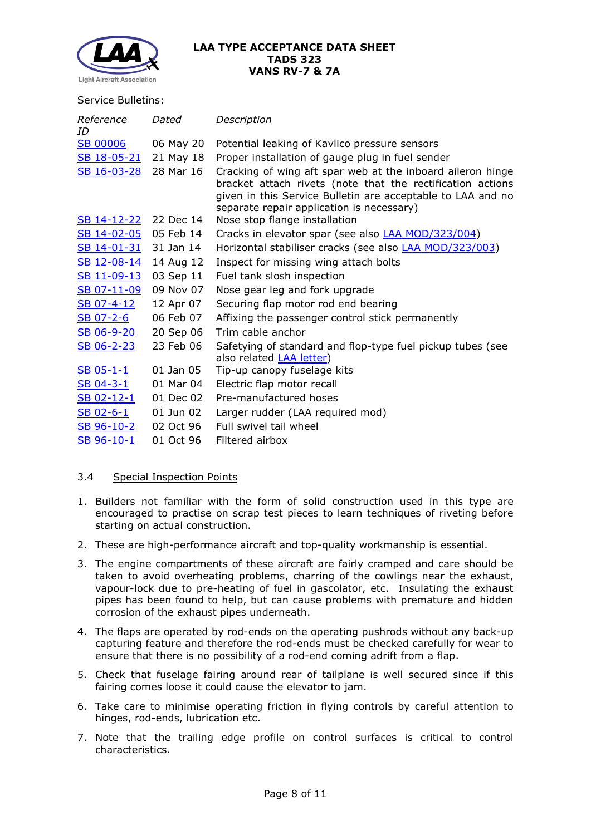

#### Service Bulletins:

| Reference<br>ID       | Dated     | Description                                                                                                                                                                                                                          |
|-----------------------|-----------|--------------------------------------------------------------------------------------------------------------------------------------------------------------------------------------------------------------------------------------|
| <b>SB 00006</b>       | 06 May 20 | Potential leaking of Kavlico pressure sensors                                                                                                                                                                                        |
| SB 18-05-21           | 21 May 18 | Proper installation of gauge plug in fuel sender                                                                                                                                                                                     |
| SB 16-03-28           | 28 Mar 16 | Cracking of wing aft spar web at the inboard aileron hinge<br>bracket attach rivets (note that the rectification actions<br>given in this Service Bulletin are acceptable to LAA and no<br>separate repair application is necessary) |
| SB 14-12-22 22 Dec 14 |           | Nose stop flange installation                                                                                                                                                                                                        |
| SB 14-02-05           | 05 Feb 14 | Cracks in elevator spar (see also <b>LAA MOD/323/004)</b>                                                                                                                                                                            |
| SB 14-01-31           | 31 Jan 14 | Horizontal stabiliser cracks (see also <b>LAA MOD/323/003)</b>                                                                                                                                                                       |
| SB 12-08-14           | 14 Aug 12 | Inspect for missing wing attach bolts                                                                                                                                                                                                |
| SB 11-09-13           | 03 Sep 11 | Fuel tank slosh inspection                                                                                                                                                                                                           |
| SB 07-11-09           | 09 Nov 07 | Nose gear leg and fork upgrade                                                                                                                                                                                                       |
| SB 07-4-12            | 12 Apr 07 | Securing flap motor rod end bearing                                                                                                                                                                                                  |
| SB 07-2-6             | 06 Feb 07 | Affixing the passenger control stick permanently                                                                                                                                                                                     |
| SB 06-9-20            | 20 Sep 06 | Trim cable anchor                                                                                                                                                                                                                    |
| SB 06-2-23            | 23 Feb 06 | Safetying of standard and flop-type fuel pickup tubes (see<br>also related <b>LAA</b> letter)                                                                                                                                        |
| $SB$ 05-1-1           | 01 Jan 05 | Tip-up canopy fuselage kits                                                                                                                                                                                                          |
| $SB$ 04-3-1           | 01 Mar 04 | Electric flap motor recall                                                                                                                                                                                                           |
| <u>SB 02-12-1</u>     | 01 Dec 02 | Pre-manufactured hoses                                                                                                                                                                                                               |
| $SB$ 02-6-1           | 01 Jun 02 | Larger rudder (LAA required mod)                                                                                                                                                                                                     |
| SB 96-10-2            | 02 Oct 96 | Full swivel tail wheel                                                                                                                                                                                                               |
| SB 96-10-1            | 01 Oct 96 | Filtered airbox                                                                                                                                                                                                                      |

## 3.4 Special Inspection Points

- 1. Builders not familiar with the form of solid construction used in this type are encouraged to practise on scrap test pieces to learn techniques of riveting before starting on actual construction.
- 2. These are high-performance aircraft and top-quality workmanship is essential.
- 3. The engine compartments of these aircraft are fairly cramped and care should be taken to avoid overheating problems, charring of the cowlings near the exhaust, vapour-lock due to pre-heating of fuel in gascolator, etc. Insulating the exhaust pipes has been found to help, but can cause problems with premature and hidden corrosion of the exhaust pipes underneath.
- 4. The flaps are operated by rod-ends on the operating pushrods without any back-up capturing feature and therefore the rod-ends must be checked carefully for wear to ensure that there is no possibility of a rod-end coming adrift from a flap.
- 5. Check that fuselage fairing around rear of tailplane is well secured since if this fairing comes loose it could cause the elevator to jam.
- 6. Take care to minimise operating friction in flying controls by careful attention to hinges, rod-ends, lubrication etc.
- 7. Note that the trailing edge profile on control surfaces is critical to control characteristics.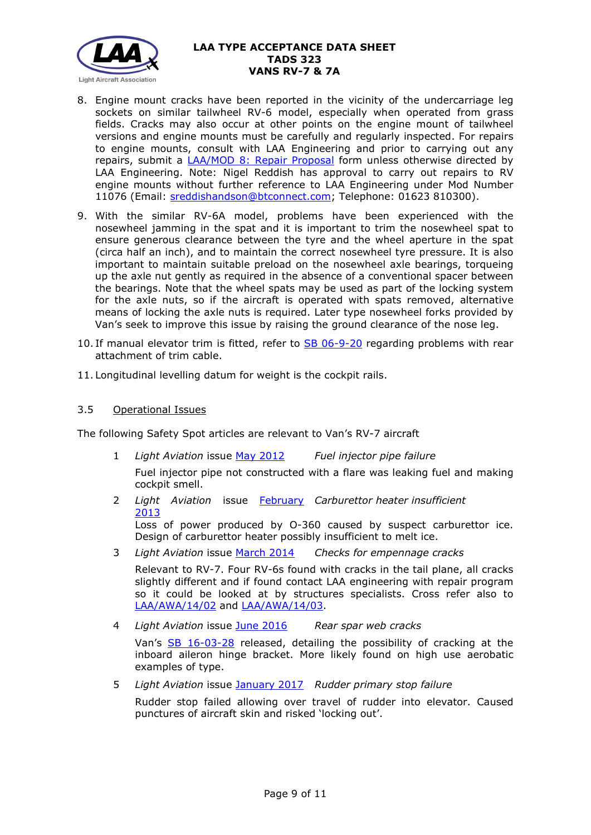

- 8. Engine mount cracks have been reported in the vicinity of the undercarriage leg sockets on similar tailwheel RV-6 model, especially when operated from grass fields. Cracks may also occur at other points on the engine mount of tailwheel versions and engine mounts must be carefully and regularly inspected. For repairs to engine mounts, consult with LAA Engineering and prior to carrying out any repairs, submit a [LAA/MOD 8: Repair Proposal](http://www.lightaircraftassociation.co.uk/engineering/StandardForms/LAA-MOD%208%20-%20Repair.pdf) form unless otherwise directed by LAA Engineering. Note: Nigel Reddish has approval to carry out repairs to RV engine mounts without further reference to LAA Engineering under Mod Number 11076 (Email: [sreddishandson@btconnect.com;](mailto:sreddishandson@btconnect.com) Telephone: 01623 810300).
- 9. With the similar RV-6A model, problems have been experienced with the nosewheel jamming in the spat and it is important to trim the nosewheel spat to ensure generous clearance between the tyre and the wheel aperture in the spat (circa half an inch), and to maintain the correct nosewheel tyre pressure. It is also important to maintain suitable preload on the nosewheel axle bearings, torqueing up the axle nut gently as required in the absence of a conventional spacer between the bearings. Note that the wheel spats may be used as part of the locking system for the axle nuts, so if the aircraft is operated with spats removed, alternative means of locking the axle nuts is required. Later type nosewheel forks provided by Van's seek to improve this issue by raising the ground clearance of the nose leg.
- 10. If manual elevator trim is fitted, refer to [SB 06-9-20](http://www.lightaircraftassociation.co.uk/engineering/TADs/323/sb06-9-20.pdf) regarding problems with rear attachment of trim cable.
- 11. Longitudinal levelling datum for weight is the cockpit rails.

# 3.5 Operational Issues

The following Safety Spot articles are relevant to Van's RV-7 aircraft

1 *Light Aviation* issue [May 2012](http://www.lightaircraftassociation.co.uk/2012/Magazine/May/Safety%20Spot.pdf) *Fuel injector pipe failure*

Fuel injector pipe not constructed with a flare was leaking fuel and making cockpit smell.

2 *Light Aviation* issue [February](http://www.lightaircraftassociation.co.uk/2013/Magazine/February/safetyspot_feb.pdf)  *Carburettor heater insufficient* [2013](http://www.lightaircraftassociation.co.uk/2013/Magazine/February/safetyspot_feb.pdf)

Loss of power produced by O-360 caused by suspect carburettor ice. Design of carburettor heater possibly insufficient to melt ice.

3 *Light Aviation* issue [March 2014](http://www.lightaircraftassociation.co.uk/2014/Mag/Mar/safetyspot_mar.pdf) *Checks for empennage cracks*

Relevant to RV-7. Four RV-6s found with cracks in the tail plane, all cracks slightly different and if found contact LAA engineering with repair program so it could be looked at by structures specialists. Cross refer also to [LAA/AWA/14/02](http://www.lightaircraftassociation.co.uk/MM/LAA%20AWA%2014%2002.pdf) and [LAA/AWA/14/03.](http://www.lightaircraftassociation.co.uk/MM/LAA%20AWA%2014%2003.pdf)

4 *Light Aviation* issue [June 2016](http://www.lightaircraftassociation.co.uk/2016/Magazine/June/safety_spot.pdf) *Rear spar web cracks*

Van's [SB 16-03-28](http://www.lightaircraftassociation.co.uk/engineering/TADs/323/sb16-03-28.pdf) released, detailing the possibility of cracking at the inboard aileron hinge bracket. More likely found on high use aerobatic examples of type.

5 *Light Aviation* issue [January 2017](http://www.lightaircraftassociation.co.uk/2017/Magazine/Jan/SafetySpot.pdf) *Rudder primary stop failure*

Rudder stop failed allowing over travel of rudder into elevator. Caused punctures of aircraft skin and risked 'locking out'.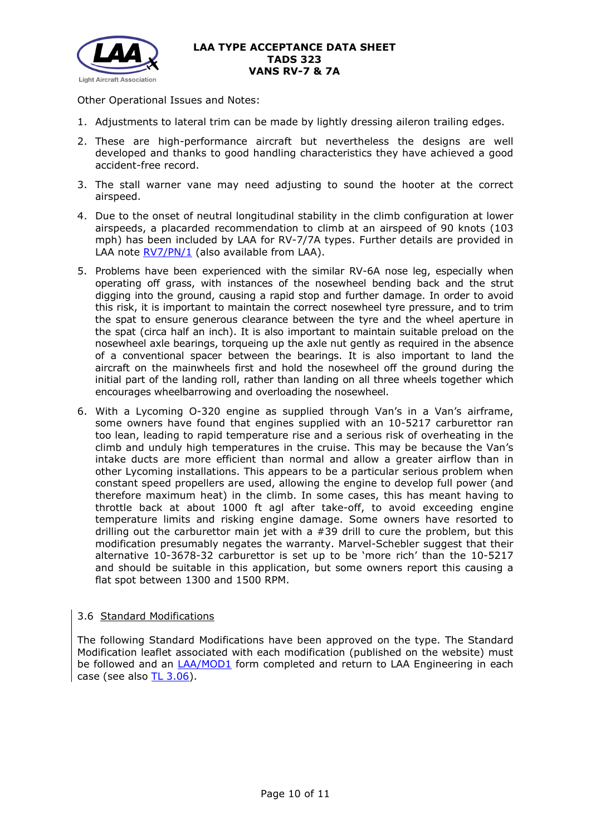

Other Operational Issues and Notes:

- 1. Adjustments to lateral trim can be made by lightly dressing aileron trailing edges.
- 2. These are high-performance aircraft but nevertheless the designs are well developed and thanks to good handling characteristics they have achieved a good accident-free record.
- 3. The stall warner vane may need adjusting to sound the hooter at the correct airspeed.
- 4. Due to the onset of neutral longitudinal stability in the climb configuration at lower airspeeds, a placarded recommendation to climb at an airspeed of 90 knots (103 mph) has been included by LAA for RV-7/7A types. Further details are provided in LAA note [RV7/PN/1](http://www.lightaircraftassociation.co.uk/engineering/TADs/323/RV7-PN-1.pdf) (also available from LAA).
- 5. Problems have been experienced with the similar RV-6A nose leg, especially when operating off grass, with instances of the nosewheel bending back and the strut digging into the ground, causing a rapid stop and further damage. In order to avoid this risk, it is important to maintain the correct nosewheel tyre pressure, and to trim the spat to ensure generous clearance between the tyre and the wheel aperture in the spat (circa half an inch). It is also important to maintain suitable preload on the nosewheel axle bearings, torqueing up the axle nut gently as required in the absence of a conventional spacer between the bearings. It is also important to land the aircraft on the mainwheels first and hold the nosewheel off the ground during the initial part of the landing roll, rather than landing on all three wheels together which encourages wheelbarrowing and overloading the nosewheel.
- 6. With a Lycoming O-320 engine as supplied through Van's in a Van's airframe, some owners have found that engines supplied with an 10-5217 carburettor ran too lean, leading to rapid temperature rise and a serious risk of overheating in the climb and unduly high temperatures in the cruise. This may be because the Van's intake ducts are more efficient than normal and allow a greater airflow than in other Lycoming installations. This appears to be a particular serious problem when constant speed propellers are used, allowing the engine to develop full power (and therefore maximum heat) in the climb. In some cases, this has meant having to throttle back at about 1000 ft agl after take-off, to avoid exceeding engine temperature limits and risking engine damage. Some owners have resorted to drilling out the carburettor main jet with a  $#39$  drill to cure the problem, but this modification presumably negates the warranty. Marvel-Schebler suggest that their alternative 10-3678-32 carburettor is set up to be 'more rich' than the 10-5217 and should be suitable in this application, but some owners report this causing a flat spot between 1300 and 1500 RPM.

# 3.6 Standard Modifications

The following Standard Modifications have been approved on the type. The Standard Modification leaflet associated with each modification (published on the website) must be followed and an [LAA/MOD1](http://www.lightaircraftassociation.co.uk/engineering/StandardForms/LAA-MOD%201%20-%20Standard%20Mod%20Incorporation.docx) form completed and return to LAA Engineering in each case (see also [TL 3.06\)](http://www.lightaircraftassociation.co.uk/engineering/TechnicalLeaflets/Mods%20and%20Repairs/TL%203.06%20Using%20an%20LAA%20Approved%20Standard%20Mod.pdf).